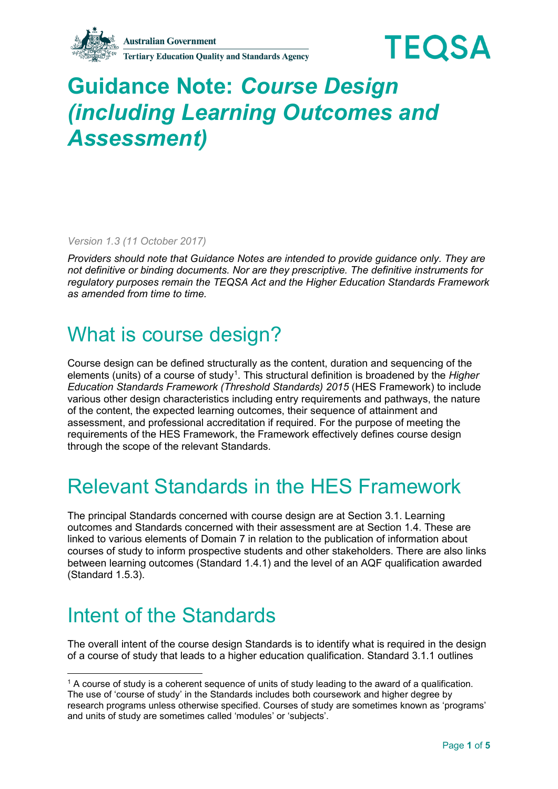**Tertiary Education Quality and Standards Agency** 



# **Guidance Note:** *Course Design (including Learning Outcomes and Assessment)*

*Version 1.3 (11 October 2017)* 

*Providers should note that Guidance Notes are intended to provide guidance only. They are not definitive or binding documents. Nor are they prescriptive. The definitive instruments for regulatory purposes remain the TEQSA Act and the Higher Education Standards Framework as amended from time to time.*

#### What is course design?

Course design can be defined structurally as the content, duration and sequencing of the elements (units) of a course of study<sup>[1](#page-0-0)</sup>. This structural definition is broadened by the *Higher Education Standards Framework (Threshold Standards) 2015* (HES Framework) to include various other design characteristics including entry requirements and pathways, the nature of the content, the expected learning outcomes, their sequence of attainment and assessment, and professional accreditation if required. For the purpose of meeting the requirements of the HES Framework, the Framework effectively defines course design through the scope of the relevant Standards.

#### Relevant Standards in the HES Framework

The principal Standards concerned with course design are at Section 3.1. Learning outcomes and Standards concerned with their assessment are at Section 1.4. These are linked to various elements of Domain 7 in relation to the publication of information about courses of study to inform prospective students and other stakeholders. There are also links between learning outcomes (Standard 1.4.1) and the level of an AQF qualification awarded (Standard 1.5.3).

## Intent of the Standards

The overall intent of the course design Standards is to identify what is required in the design of a course of study that leads to a higher education qualification. Standard 3.1.1 outlines

<span id="page-0-0"></span><sup>1</sup> A course of study is a coherent sequence of units of study leading to the award of a qualification. The use of 'course of study' in the Standards includes both coursework and higher degree by research programs unless otherwise specified. Courses of study are sometimes known as 'programs' and units of study are sometimes called 'modules' or 'subjects'.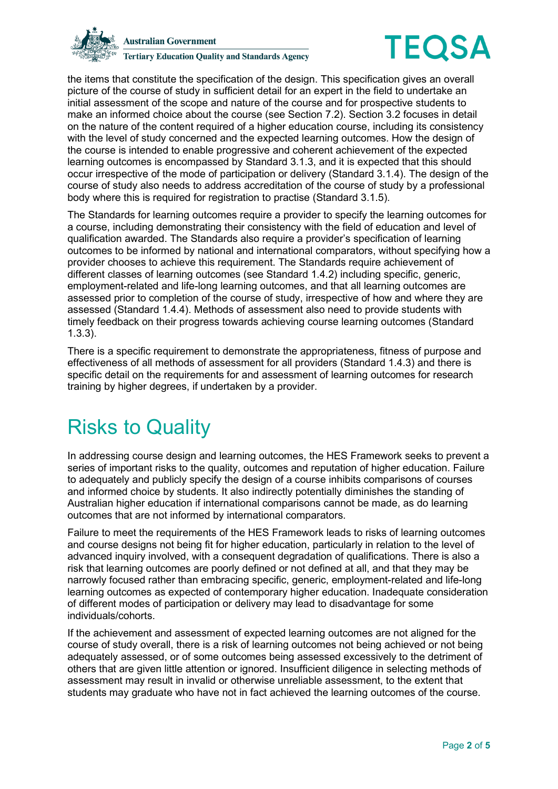



the items that constitute the specification of the design. This specification gives an overall picture of the course of study in sufficient detail for an expert in the field to undertake an initial assessment of the scope and nature of the course and for prospective students to make an informed choice about the course (see Section 7.2). Section 3.2 focuses in detail on the nature of the content required of a higher education course, including its consistency with the level of study concerned and the expected learning outcomes. How the design of the course is intended to enable progressive and coherent achievement of the expected learning outcomes is encompassed by Standard 3.1.3, and it is expected that this should occur irrespective of the mode of participation or delivery (Standard 3.1.4). The design of the course of study also needs to address accreditation of the course of study by a professional body where this is required for registration to practise (Standard 3.1.5).

The Standards for learning outcomes require a provider to specify the learning outcomes for a course, including demonstrating their consistency with the field of education and level of qualification awarded. The Standards also require a provider's specification of learning outcomes to be informed by national and international comparators, without specifying how a provider chooses to achieve this requirement. The Standards require achievement of different classes of learning outcomes (see Standard 1.4.2) including specific, generic, employment-related and life-long learning outcomes, and that all learning outcomes are assessed prior to completion of the course of study, irrespective of how and where they are assessed (Standard 1.4.4). Methods of assessment also need to provide students with timely feedback on their progress towards achieving course learning outcomes (Standard 1.3.3).

There is a specific requirement to demonstrate the appropriateness, fitness of purpose and effectiveness of all methods of assessment for all providers (Standard 1.4.3) and there is specific detail on the requirements for and assessment of learning outcomes for research training by higher degrees, if undertaken by a provider.

## Risks to Quality

In addressing course design and learning outcomes, the HES Framework seeks to prevent a series of important risks to the quality, outcomes and reputation of higher education. Failure to adequately and publicly specify the design of a course inhibits comparisons of courses and informed choice by students. It also indirectly potentially diminishes the standing of Australian higher education if international comparisons cannot be made, as do learning outcomes that are not informed by international comparators.

Failure to meet the requirements of the HES Framework leads to risks of learning outcomes and course designs not being fit for higher education, particularly in relation to the level of advanced inquiry involved, with a consequent degradation of qualifications. There is also a risk that learning outcomes are poorly defined or not defined at all, and that they may be narrowly focused rather than embracing specific, generic, employment-related and life-long learning outcomes as expected of contemporary higher education. Inadequate consideration of different modes of participation or delivery may lead to disadvantage for some individuals/cohorts.

If the achievement and assessment of expected learning outcomes are not aligned for the course of study overall, there is a risk of learning outcomes not being achieved or not being adequately assessed, or of some outcomes being assessed excessively to the detriment of others that are given little attention or ignored. Insufficient diligence in selecting methods of assessment may result in invalid or otherwise unreliable assessment, to the extent that students may graduate who have not in fact achieved the learning outcomes of the course.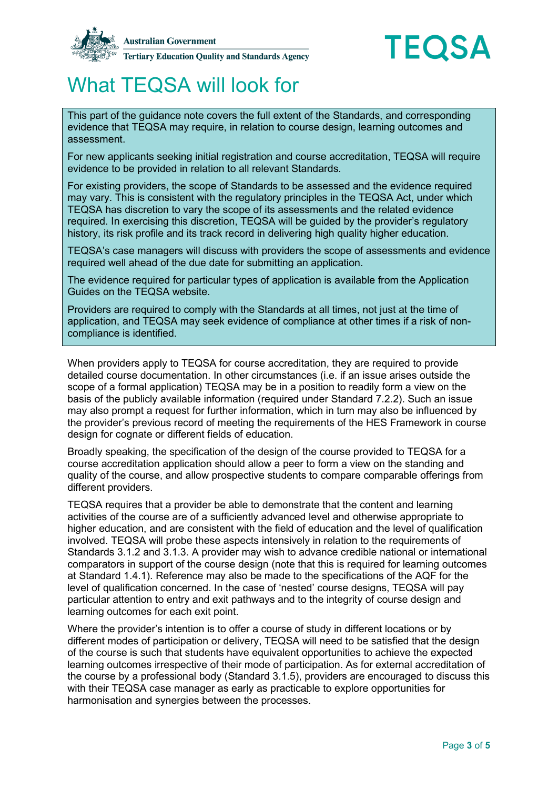



## What TEQSA will look for

This part of the guidance note covers the full extent of the Standards, and corresponding evidence that TEQSA may require, in relation to course design, learning outcomes and assessment.

For new applicants seeking initial registration and course accreditation, TEQSA will require evidence to be provided in relation to all relevant Standards.

For existing providers, the scope of Standards to be assessed and the evidence required may vary. This is consistent with the regulatory principles in the TEQSA Act, under which TEQSA has discretion to vary the scope of its assessments and the related evidence required. In exercising this discretion, TEQSA will be guided by the provider's regulatory history, its risk profile and its track record in delivering high quality higher education.

TEQSA's case managers will discuss with providers the scope of assessments and evidence required well ahead of the due date for submitting an application.

The evidence required for particular types of application is available from the Application Guides on the TEQSA website.

Providers are required to comply with the Standards at all times, not just at the time of application, and TEQSA may seek evidence of compliance at other times if a risk of noncompliance is identified.

When providers apply to TEQSA for course accreditation, they are required to provide detailed course documentation. In other circumstances (i.e. if an issue arises outside the scope of a formal application) TEQSA may be in a position to readily form a view on the basis of the publicly available information (required under Standard 7.2.2). Such an issue may also prompt a request for further information, which in turn may also be influenced by the provider's previous record of meeting the requirements of the HES Framework in course design for cognate or different fields of education.

Broadly speaking, the specification of the design of the course provided to TEQSA for a course accreditation application should allow a peer to form a view on the standing and quality of the course, and allow prospective students to compare comparable offerings from different providers.

TEQSA requires that a provider be able to demonstrate that the content and learning activities of the course are of a sufficiently advanced level and otherwise appropriate to higher education, and are consistent with the field of education and the level of qualification involved. TEQSA will probe these aspects intensively in relation to the requirements of Standards 3.1.2 and 3.1.3. A provider may wish to advance credible national or international comparators in support of the course design (note that this is required for learning outcomes at Standard 1.4.1). Reference may also be made to the specifications of the AQF for the level of qualification concerned. In the case of 'nested' course designs, TEQSA will pay particular attention to entry and exit pathways and to the integrity of course design and learning outcomes for each exit point.

Where the provider's intention is to offer a course of study in different locations or by different modes of participation or delivery, TEQSA will need to be satisfied that the design of the course is such that students have equivalent opportunities to achieve the expected learning outcomes irrespective of their mode of participation. As for external accreditation of the course by a professional body (Standard 3.1.5), providers are encouraged to discuss this with their TEQSA case manager as early as practicable to explore opportunities for harmonisation and synergies between the processes.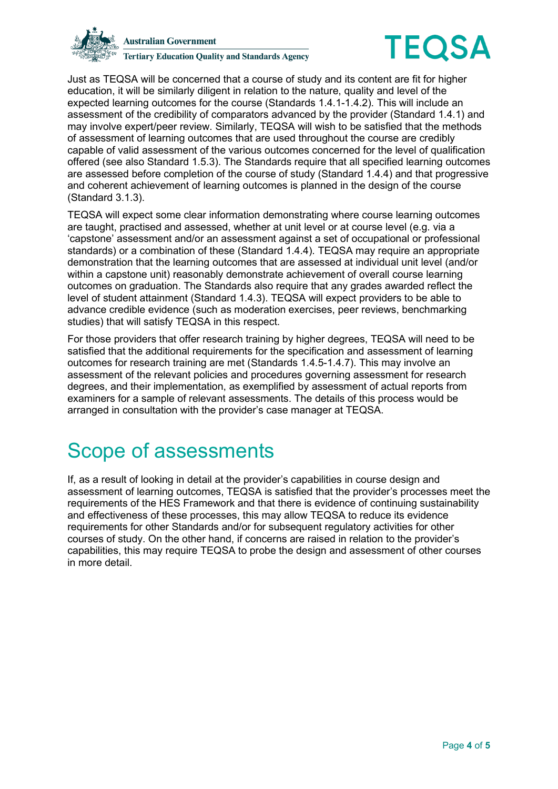



Just as TEQSA will be concerned that a course of study and its content are fit for higher education, it will be similarly diligent in relation to the nature, quality and level of the expected learning outcomes for the course (Standards 1.4.1-1.4.2). This will include an assessment of the credibility of comparators advanced by the provider (Standard 1.4.1) and may involve expert/peer review. Similarly, TEQSA will wish to be satisfied that the methods of assessment of learning outcomes that are used throughout the course are credibly capable of valid assessment of the various outcomes concerned for the level of qualification offered (see also Standard 1.5.3). The Standards require that all specified learning outcomes are assessed before completion of the course of study (Standard 1.4.4) and that progressive and coherent achievement of learning outcomes is planned in the design of the course (Standard 3.1.3).

TEQSA will expect some clear information demonstrating where course learning outcomes are taught, practised and assessed, whether at unit level or at course level (e.g. via a 'capstone' assessment and/or an assessment against a set of occupational or professional standards) or a combination of these (Standard 1.4.4). TEQSA may require an appropriate demonstration that the learning outcomes that are assessed at individual unit level (and/or within a capstone unit) reasonably demonstrate achievement of overall course learning outcomes on graduation. The Standards also require that any grades awarded reflect the level of student attainment (Standard 1.4.3). TEQSA will expect providers to be able to advance credible evidence (such as moderation exercises, peer reviews, benchmarking studies) that will satisfy TEQSA in this respect.

For those providers that offer research training by higher degrees, TEQSA will need to be satisfied that the additional requirements for the specification and assessment of learning outcomes for research training are met (Standards 1.4.5-1.4.7). This may involve an assessment of the relevant policies and procedures governing assessment for research degrees, and their implementation, as exemplified by assessment of actual reports from examiners for a sample of relevant assessments. The details of this process would be arranged in consultation with the provider's case manager at TEQSA.

#### Scope of assessments

If, as a result of looking in detail at the provider's capabilities in course design and assessment of learning outcomes, TEQSA is satisfied that the provider's processes meet the requirements of the HES Framework and that there is evidence of continuing sustainability and effectiveness of these processes, this may allow TEQSA to reduce its evidence requirements for other Standards and/or for subsequent regulatory activities for other courses of study. On the other hand, if concerns are raised in relation to the provider's capabilities, this may require TEQSA to probe the design and assessment of other courses in more detail.